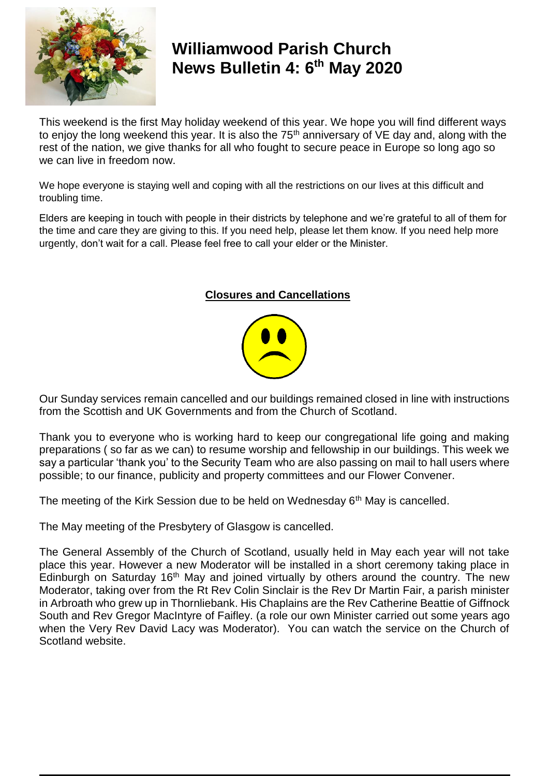

### **Williamwood Parish Church News Bulletin 4: 6 th May 2020**

This weekend is the first May holiday weekend of this year. We hope you will find different ways to enjoy the long weekend this year. It is also the  $75<sup>th</sup>$  anniversary of VE day and, along with the rest of the nation, we give thanks for all who fought to secure peace in Europe so long ago so we can live in freedom now.

We hope everyone is staying well and coping with all the restrictions on our lives at this difficult and troubling time.

Elders are keeping in touch with people in their districts by telephone and we're grateful to all of them for the time and care they are giving to this. If you need help, please let them know. If you need help more urgently, don't wait for a call. Please feel free to call your elder or the Minister.

#### **Closures and Cancellations**



Our Sunday services remain cancelled and our buildings remained closed in line with instructions from the Scottish and UK Governments and from the Church of Scotland.

Thank you to everyone who is working hard to keep our congregational life going and making preparations ( so far as we can) to resume worship and fellowship in our buildings. This week we say a particular 'thank you' to the Security Team who are also passing on mail to hall users where possible; to our finance, publicity and property committees and our Flower Convener.

The meeting of the Kirk Session due to be held on Wednesday 6<sup>th</sup> May is cancelled.

The May meeting of the Presbytery of Glasgow is cancelled.

The General Assembly of the Church of Scotland, usually held in May each year will not take place this year. However a new Moderator will be installed in a short ceremony taking place in Edinburgh on Saturday  $16<sup>th</sup>$  May and joined virtually by others around the country. The new Moderator, taking over from the Rt Rev Colin Sinclair is the Rev Dr Martin Fair, a parish minister in Arbroath who grew up in Thornliebank. His Chaplains are the Rev Catherine Beattie of Giffnock South and Rev Gregor MacIntyre of Faifley. (a role our own Minister carried out some years ago when the Very Rev David Lacy was Moderator). You can watch the service on the Church of Scotland website.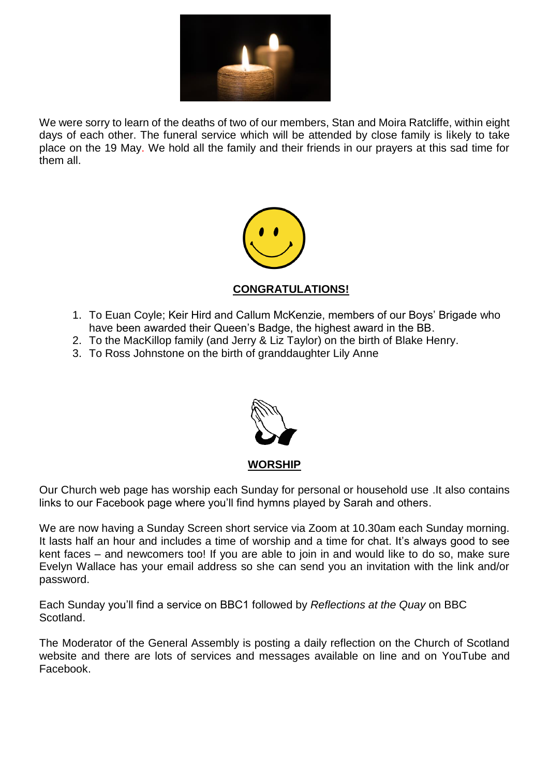

We were sorry to learn of the deaths of two of our members, Stan and Moira Ratcliffe, within eight days of each other. The funeral service which will be attended by close family is likely to take place on the 19 May. We hold all the family and their friends in our prayers at this sad time for them all.



#### **CONGRATULATIONS!**

- 1. To Euan Coyle; Keir Hird and Callum McKenzie, members of our Boys' Brigade who have been awarded their Queen's Badge, the highest award in the BB.
- 2. To the MacKillop family (and Jerry & Liz Taylor) on the birth of Blake Henry.
- 3. To Ross Johnstone on the birth of granddaughter Lily Anne



Our Church web page has worship each Sunday for personal or household use .It also contains links to our Facebook page where you'll find hymns played by Sarah and others.

We are now having a Sunday Screen short service via Zoom at 10.30am each Sunday morning. It lasts half an hour and includes a time of worship and a time for chat. It's always good to see kent faces – and newcomers too! If you are able to join in and would like to do so, make sure Evelyn Wallace has your email address so she can send you an invitation with the link and/or password.

Each Sunday you'll find a service on BBC1 followed by *Reflections at the Quay* on BBC Scotland.

The Moderator of the General Assembly is posting a daily reflection on the Church of Scotland website and there are lots of services and messages available on line and on YouTube and Facebook.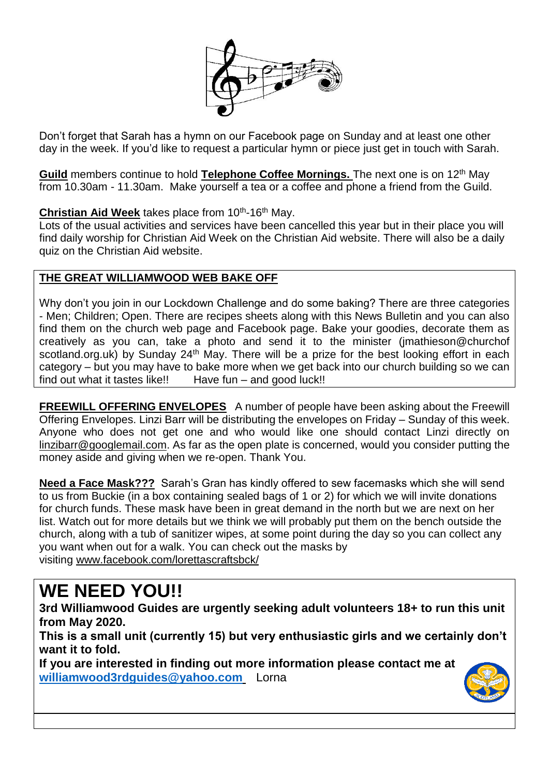

Don't forget that Sarah has a hymn on our Facebook page on Sunday and at least one other day in the week. If you'd like to request a particular hymn or piece just get in touch with Sarah.

**Guild** members continue to hold **Telephone Coffee Mornings.** The next one is on 12th May from 10.30am - 11.30am. Make yourself a tea or a coffee and phone a friend from the Guild.

#### Christian Aid Week takes place from 10<sup>th</sup>-16<sup>th</sup> May.

Lots of the usual activities and services have been cancelled this year but in their place you will find daily worship for Christian Aid Week on the Christian Aid website. There will also be a daily quiz on the Christian Aid website.

#### **THE GREAT WILLIAMWOOD WEB BAKE OFF**

Why don't you join in our Lockdown Challenge and do some baking? There are three categories - Men; Children; Open. There are recipes sheets along with this News Bulletin and you can also find them on the church web page and Facebook page. Bake your goodies, decorate them as creatively as you can, take a photo and send it to the minister (jmathieson@churchof scotland.org.uk) by Sunday 24<sup>th</sup> May. There will be a prize for the best looking effort in each category – but you may have to bake more when we get back into our church building so we can find out what it tastes like!! Have fun – and good luck!!

**FREEWILL OFFERING ENVELOPES** A number of people have been asking about the Freewill Offering Envelopes. Linzi Barr will be distributing the envelopes on Friday – Sunday of this week. Anyone who does not get one and who would like one should contact Linzi directly on [linzibarr@googlemail.com.](mailto:linzibarr@googlemail.com) As far as the open plate is concerned, would you consider putting the money aside and giving when we re-open. Thank You.

**Need a Face Mask???** Sarah's Gran has kindly offered to sew facemasks which she will send to us from Buckie (in a box containing sealed bags of 1 or 2) for which we will invite donations for church funds. These mask have been in great demand in the north but we are next on her list. Watch out for more details but we think we will probably put them on the bench outside the church, along with a tub of sanitizer wipes, at some point during the day so you can collect any you want when out for a walk. You can check out the masks by visiting [www.facebook.com/lorettascraftsbck/](https://www.facebook.com/lorettascraftsbck/)

## **WE NEED YOU!!**

**3rd Williamwood Guides are urgently seeking adult volunteers 18+ to run this unit from May 2020.**

**This is a small unit (currently 15) but very enthusiastic girls and we certainly don't want it to fold.**

**If you are interested in finding out more information please contact me at [williamwood3rdguides@yahoo.com](mailto:williamwood3rdguides@yahoo.com)** Lorna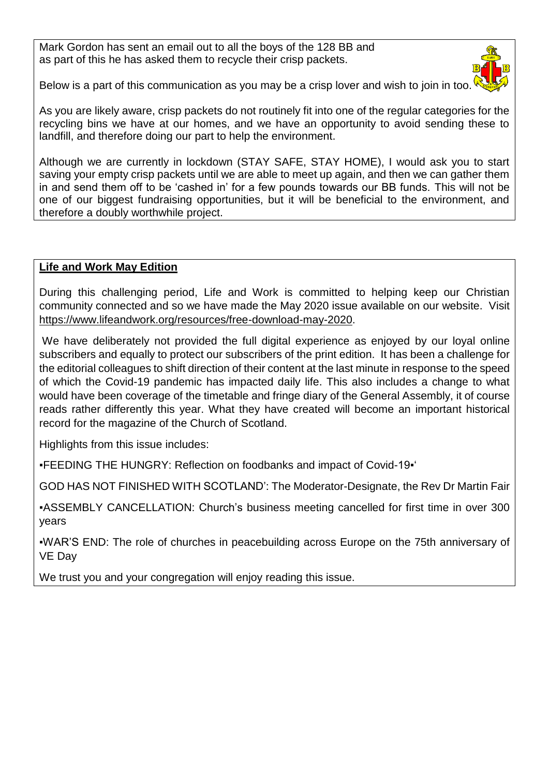Mark Gordon has sent an email out to all the boys of the 128 BB and as part of this he has asked them to recycle their crisp packets.



Below is a part of this communication as you may be a crisp lover and wish to join in too.

As you are likely aware, crisp packets do not routinely fit into one of the regular categories for the recycling bins we have at our homes, and we have an opportunity to avoid sending these to landfill, and therefore doing our part to help the environment.

Although we are currently in lockdown (STAY SAFE, STAY HOME), I would ask you to start saving your empty crisp packets until we are able to meet up again, and then we can gather them in and send them off to be 'cashed in' for a few pounds towards our BB funds. This will not be one of our biggest fundraising opportunities, but it will be beneficial to the environment, and therefore a doubly worthwhile project.

#### **Life and Work May Edition**

During this challenging period, Life and Work is committed to helping keep our Christian community connected and so we have made the May 2020 issue available on our website. Visit [https://www.lifeandwork.org/resources/free-download-may-2020.](https://www.lifeandwork.org/resources/free-download-may-2020)

We have deliberately not provided the full digital experience as enjoyed by our loyal online subscribers and equally to protect our subscribers of the print edition. It has been a challenge for the editorial colleagues to shift direction of their content at the last minute in response to the speed of which the Covid-19 pandemic has impacted daily life. This also includes a change to what would have been coverage of the timetable and fringe diary of the General Assembly, it of course reads rather differently this year. What they have created will become an important historical record for the magazine of the Church of Scotland.

Highlights from this issue includes:

▪FEEDING THE HUNGRY: Reflection on foodbanks and impact of Covid-19▪'

GOD HAS NOT FINISHED WITH SCOTLAND': The Moderator-Designate, the Rev Dr Martin Fair

▪ASSEMBLY CANCELLATION: Church's business meeting cancelled for first time in over 300 years

▪WAR'S END: The role of churches in peacebuilding across Europe on the 75th anniversary of VE Day

We trust you and your congregation will enjoy reading this issue.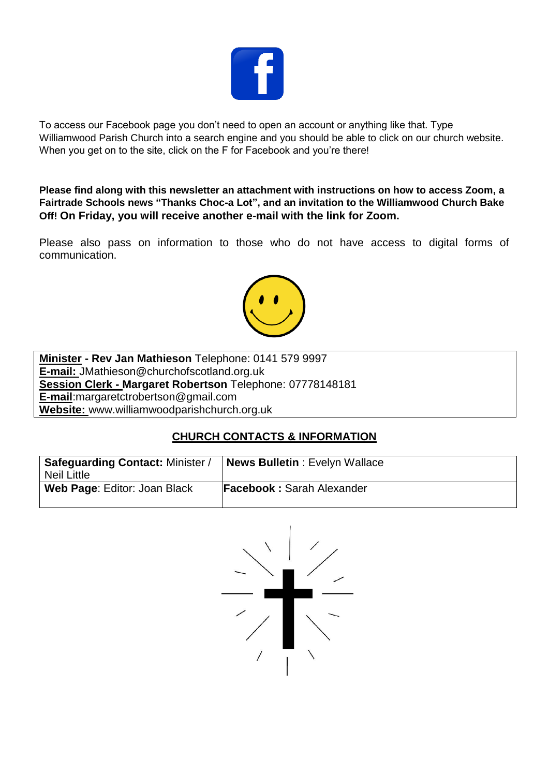

To access our Facebook page you don't need to open an account or anything like that. Type Williamwood Parish Church into a search engine and you should be able to click on our church website. When you get on to the site, click on the F for Facebook and you're there!

**Please find along with this newsletter an attachment with instructions on how to access Zoom, a Fairtrade Schools news "Thanks Choc-a Lot", and an invitation to the Williamwood Church Bake Off! On Friday, you will receive another e-mail with the link for Zoom.**

Please also pass on information to those who do not have access to digital forms of communication.



**Minister - Rev Jan Mathieson** Telephone: 0141 579 9997 **E-mail:** JMathieson@churchofscotland.org.uk **Session Clerk - Margaret Robertson** Telephone: 07778148181 **E-mail**:margaretctrobertson@gmail.com **Website:** www.williamwoodparishchurch.org.uk

#### **CHURCH CONTACTS & INFORMATION**

| Safeguarding Contact: Minister /<br><b>Neil Little</b> | News Bulletin: Evelyn Wallace    |
|--------------------------------------------------------|----------------------------------|
| Web Page: Editor: Joan Black                           | <b>Facebook: Sarah Alexander</b> |